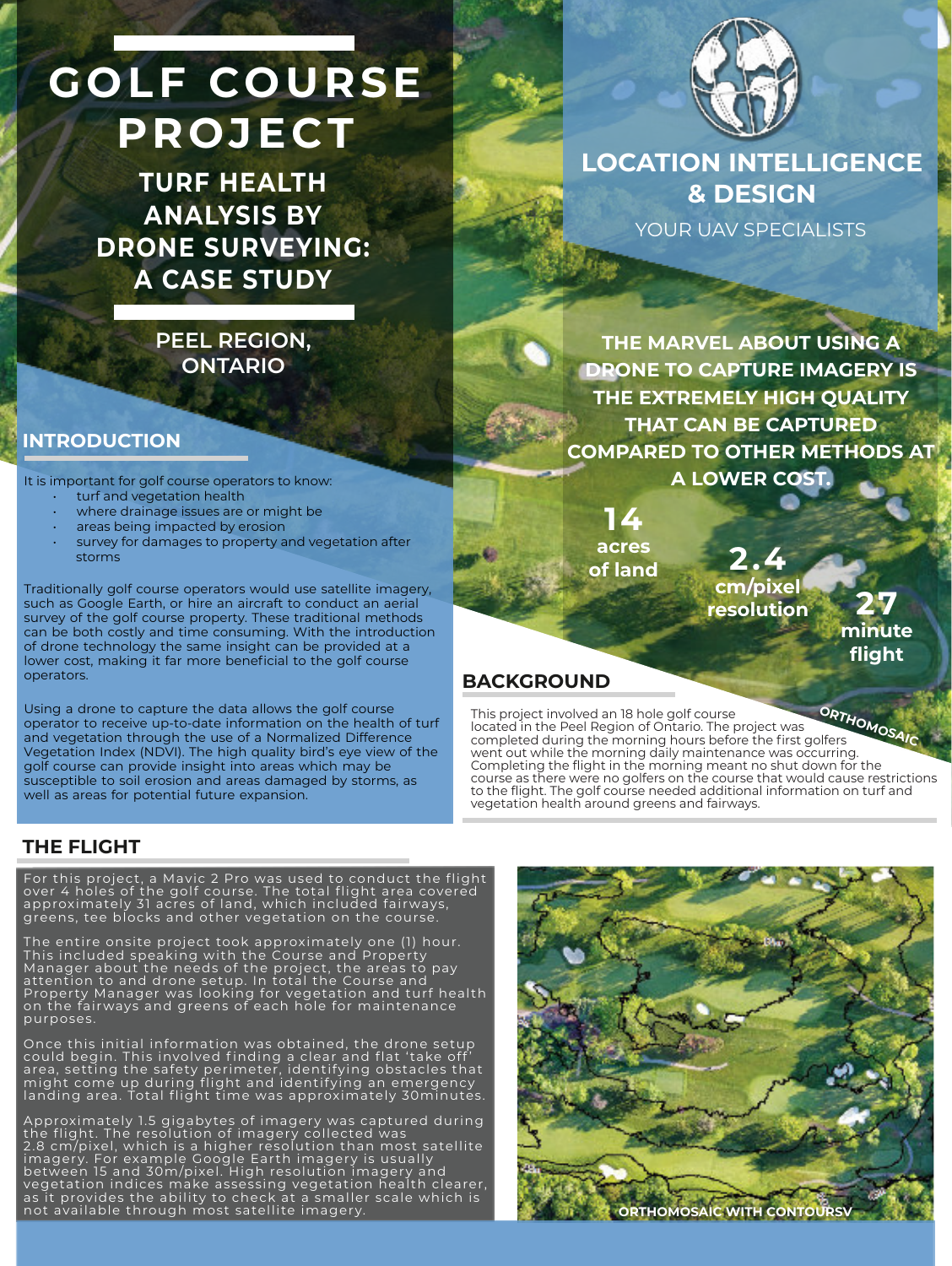# **GOLF COURSE PRO JE CT**

**TURF HEALTH ANALYSIS BY DRONE SURVEYING: A CASE STUDY**

## **PEEL REGION, ONTARIO**

#### **INTRODUCTION**

It is important for golf course operators to know:

- turf and vegetation health
- where drainage issues are or might be
- areas being impacted by erosion
- survey for damages to property and vegetation after storms

Traditionally golf course operators would use satellite imagery, such as Google Earth, or hire an aircraft to conduct an aerial survey of the golf course property. These traditional methods can be both costly and time consuming. With the introduction of drone technology the same insight can be provided at a lower cost, making it far more beneficial to the golf course operators.

Using a drone to capture the data allows the golf course operator to receive up-to-date information on the health of turf and vegetation through the use of a Normalized Difference Vegetation Index (NDVI). The high quality bird's eye view of the golf course can provide insight into areas which may be susceptible to soil erosion and areas damaged by storms, as well as areas for potential future expansion.



**LOCATION INTELLIGENCE & DESIGN** YOUR UAV SPECIALISTS

**THE MARVEL ABOUT USING A DRONE TO CAPTURE IMAGERY IS THE EXTREMELY HIGH QUALITY THAT CAN BE CAPTURED COMPARED TO OTHER METHODS AT A LOWER COST.**

**14 acres of land 2.4**

**cm/pixel resolution 27**



### **BACKGROUND**

This project involved an 18 hole golf course located in the Peel Region of Ontario. The project was completed during the morning hours before the first golfers went out while the morning daily maintenance was occurring. Completing the flight in the morning meant no shut down for the course as there were no golfers on the course that would cause restrictions to the flight. The golf course needed additional information on turf and vegetation health around greens and fairways. **ORTHOMOSA** 

## **THE FLIGHT**

For this project, a Mavic 2 Pro was used to conduct the flight over 4 holes of the golf course. The total flight area covered approximately 31 acres of land, which included fairways, greens, tee blocks and other vegetation on the course.

The entire onsite project took approximately one (1) hour. This included speaking with the Course and Property Manager about the needs of the project, the areas to pay attention to and drone setup. In total the Course and Property Manager was looking for vegetation and turf health on the fairways and greens of each hole for maintenance purposes.

Once this initial information was obtained, the drone setup could begin. This involved finding a clear and flat 'take off' area, setting the safety perimeter, identifying obstacles that might come up during flight and identifying an emergency landing area. Total flight time was approximately 30minutes.

Approximately 1.5 gigabytes of imagery was captured during the flight. The resolution of imagery collected was 2.8 cm/pixel, which is a higher resolution than most satellite<br>imagery. For example Google Earth imagery is usually between 15 and 30m/pixel. High resolution imagery and vegetation indices make assessing vegetation health clearer, as it provides the ability to check at a smaller scale which is not available through most satellite imagery.